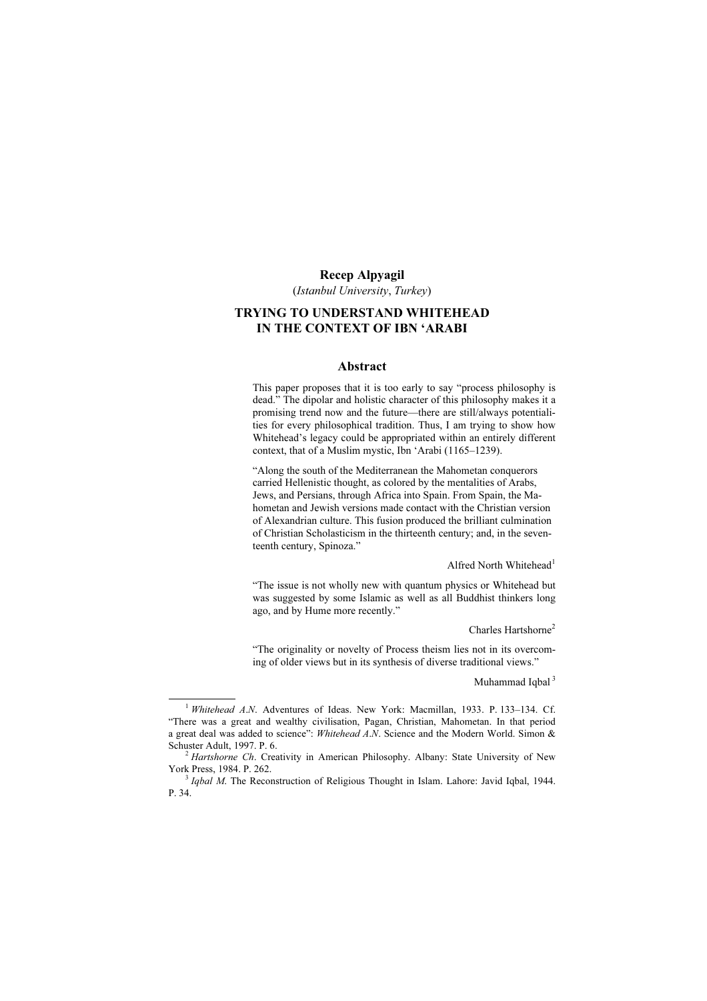#### Recep Alpyagil

(Istanbul University, Turkey)

# TRYING TO UNDERSTAND WHITEHEAD IN THE CONTEXT OF IBN 'ARABI

#### Abstract

This paper proposes that it is too early to say "process philosophy is dead." The dipolar and holistic character of this philosophy makes it a promising trend now and the future—there are still/always potentialities for every philosophical tradition. Thus, I am trying to show how Whitehead's legacy could be appropriated within an entirely different context, that of a Muslim mystic, Ibn 'Arabi (1165–1239).

"Along the south of the Mediterranean the Mahometan conquerors carried Hellenistic thought, as colored by the mentalities of Arabs, Jews, and Persians, through Africa into Spain. From Spain, the Mahometan and Jewish versions made contact with the Christian version of Alexandrian culture. This fusion produced the brilliant culmination of Christian Scholasticism in the thirteenth century; and, in the seventeenth century, Spinoza."

Alfred North Whitehead<sup>1</sup>

"The issue is not wholly new with quantum physics or Whitehead but was suggested by some Islamic as well as all Buddhist thinkers long ago, and by Hume more recently."

Charles Hartshorne<sup>2</sup>

"The originality or novelty of Process theism lies not in its overcoming of older views but in its synthesis of diverse traditional views."

Muhammad Iqbal $3$ 

<sup>&</sup>lt;sup>1</sup> Whitehead A.N. Adventures of Ideas. New York: Macmillan, 1933. P. 133-134. Cf. "There was a great and wealthy civilisation, Pagan, Christian, Mahometan. In that period a great deal was added to science": Whitehead A.N. Science and the Modern World. Simon & Schuster Adult, 1997. P. 6.

 $3$  Hartshorne Ch. Creativity in American Philosophy. Albany: State University of New York Press, 1984. P. 262.<br><sup>3</sup> *Iabal M*. The Reconstruction of Religious Thought in Islam. Lahore: Javid Iqbal, 1944.

P. 34.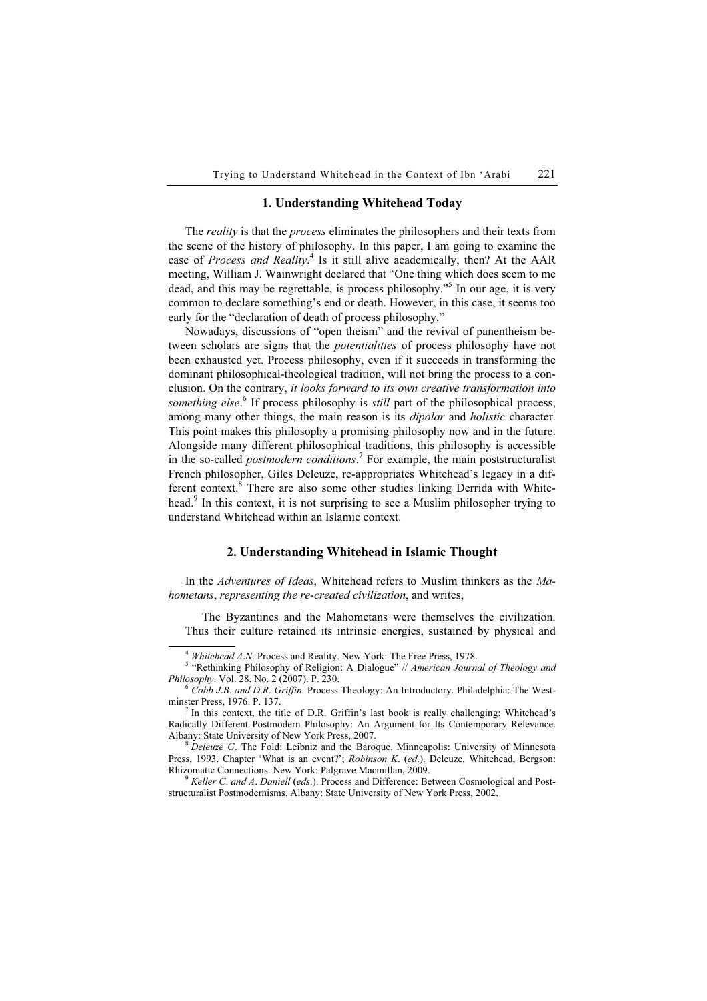### 1. Understanding Whitehead Today

The *reality* is that the *process* eliminates the philosophers and their texts from the scene of the history of philosophy. In this paper, I am going to examine the case of Process and Reality.<sup>4</sup> Is it still alive academically, then? At the AAR meeting, William J. Wainwright declared that "One thing which does seem to me dead, and this may be regrettable, is process philosophy."<sup>5</sup> In our age, it is very common to declare something's end or death. However, in this case, it seems too early for the "declaration of death of process philosophy."

Nowadays, discussions of "open theism" and the revival of panentheism between scholars are signs that the *potentialities* of process philosophy have not been exhausted yet. Process philosophy, even if it succeeds in transforming the dominant philosophical-theological tradition, will not bring the process to a conclusion. On the contrary, it looks forward to its own creative transformation into something else.<sup>6</sup> If process philosophy is still part of the philosophical process, among many other things, the main reason is its *dipolar* and *holistic* character. This point makes this philosophy a promising philosophy now and in the future. Alongside many different philosophical traditions, this philosophy is accessible in the so-called *postmodern conditions*.<sup>7</sup> For example, the main poststructuralist French philosopher, Giles Deleuze, re-appropriates Whitehead's legacy in a different context.<sup>8</sup> There are also some other studies linking Derrida with Whitehead.<sup>9</sup> In this context, it is not surprising to see a Muslim philosopher trying to understand Whitehead within an Islamic context.

## 2. Understanding Whitehead in Islamic Thought

In the Adventures of Ideas, Whitehead refers to Muslim thinkers as the Mahometans, representing the re-created civilization, and writes,

The Byzantines and the Mahometans were themselves the civilization. Thus their culture retained its intrinsic energies, sustained by physical and

<sup>&</sup>lt;sup>4</sup> Whitehead A.N. Process and Reality. New York: The Free Press, 1978.

<sup>&</sup>lt;sup>5</sup> "Rethinking Philosophy of Religion: A Dialogue" // American Journal of Theology and Philosophy. Vol. 28. No. 2 (2007). P. 230.

 $6 \dot{C}$ <sub>0</sub> ( $\dot{C}$ <sub>2</sub>). *D.B. and D.R. Griffin.* Process Theology: An Introductory. Philadelphia: The Westminster Press, 1976. P. 137.

In this context, the title of D.R. Griffin's last book is really challenging: Whitehead's Radically Different Postmodern Philosophy: An Argument for Its Contemporary Relevance.<br>Albany: State University of New York Press, 2007.

 $8$  Deleuze G. The Fold: Leibniz and the Baroque. Minneapolis: University of Minnesota Press, 1993. Chapter 'What is an event?'; Robinson K. (ed.). Deleuze, Whitehead, Bergson: Rhizomatic Connections. New York: Palgrave Macmillan, 2009.<br><sup>9</sup> Keller C. and A. Daniell (eds.). Process and Difference: Between Cosmological and Post-

structuralist Postmodernisms. Albany: State University of New York Press, 2002.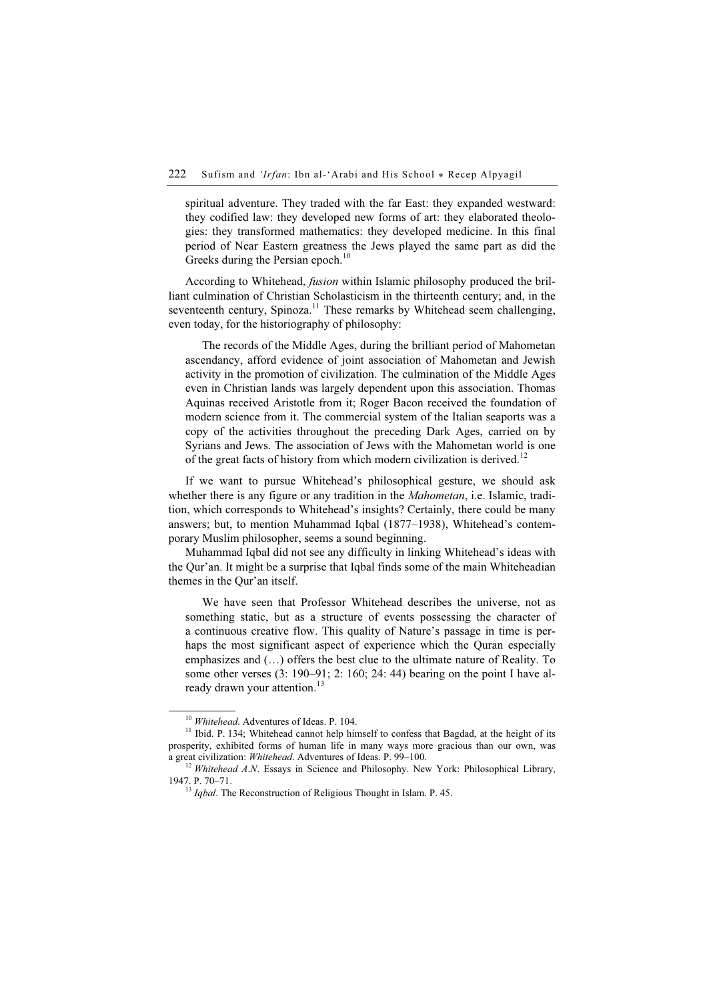spiritual adventure. They traded with the far East: they expanded westward: they codified law: they developed new forms of art: they elaborated theologies: they transformed mathematics: they developed medicine. In this final period of Near Eastern greatness the Jews played the same part as did the Greeks during the Persian epoch.<sup>10</sup>

According to Whitehead, fusion within Islamic philosophy produced the brilliant culmination of Christian Scholasticism in the thirteenth century; and, in the seventeenth century, Spinoza.<sup>11</sup> These remarks by Whitehead seem challenging, even today, for the historiography of philosophy:

The records of the Middle Ages, during the brilliant period of Mahometan ascendancy, afford evidence of joint association of Mahometan and Jewish activity in the promotion of civilization. The culmination of the Middle Ages even in Christian lands was largely dependent upon this association. Thomas Aquinas received Aristotle from it; Roger Bacon received the foundation of modern science from it. The commercial system of the Italian seaports was a copy of the activities throughout the preceding Dark Ages, carried on by Syrians and Jews. The association of Jews with the Mahometan world is one of the great facts of history from which modern civilization is derived.<sup>12</sup>

If we want to pursue Whitehead's philosophical gesture, we should ask whether there is any figure or any tradition in the *Mahometan*, i.e. Islamic, tradition, which corresponds to Whitehead's insights? Certainly, there could be many answers; but, to mention Muhammad Iqbal (1877–1938), Whitehead's contemporary Muslim philosopher, seems a sound beginning.

Muhammad Iqbal did not see any difficulty in linking Whitehead's ideas with the Qur'an. It might be a surprise that Iqbal finds some of the main Whiteheadian themes in the Qur'an itself.

We have seen that Professor Whitehead describes the universe, not as something static, but as a structure of events possessing the character of a continuous creative flow. This quality of Nature's passage in time is perhaps the most significant aspect of experience which the Quran especially emphasizes and (…) offers the best clue to the ultimate nature of Reality. To some other verses (3: 190–91; 2: 160; 24: 44) bearing on the point I have already drawn your attention.<sup>13</sup>

<sup>&</sup>lt;sup>10</sup> Whitehead. Adventures of Ideas. P. 104.<br><sup>11</sup> Ibid. P. 134; Whitehead cannot help himself to confess that Bagdad, at the height of its prosperity, exhibited forms of human life in many ways more gracious than our own, was a great civilization: Whitehead. Adventures of Ideas. P. 99–100.<br><sup>12</sup> Whitehead A.N. Essays in Science and Philosophy. New York: Philosophical Library,

<sup>1947.</sup> P. 70–71.<br><sup>13</sup> Igbal. The Reconstruction of Religious Thought in Islam. P. 45.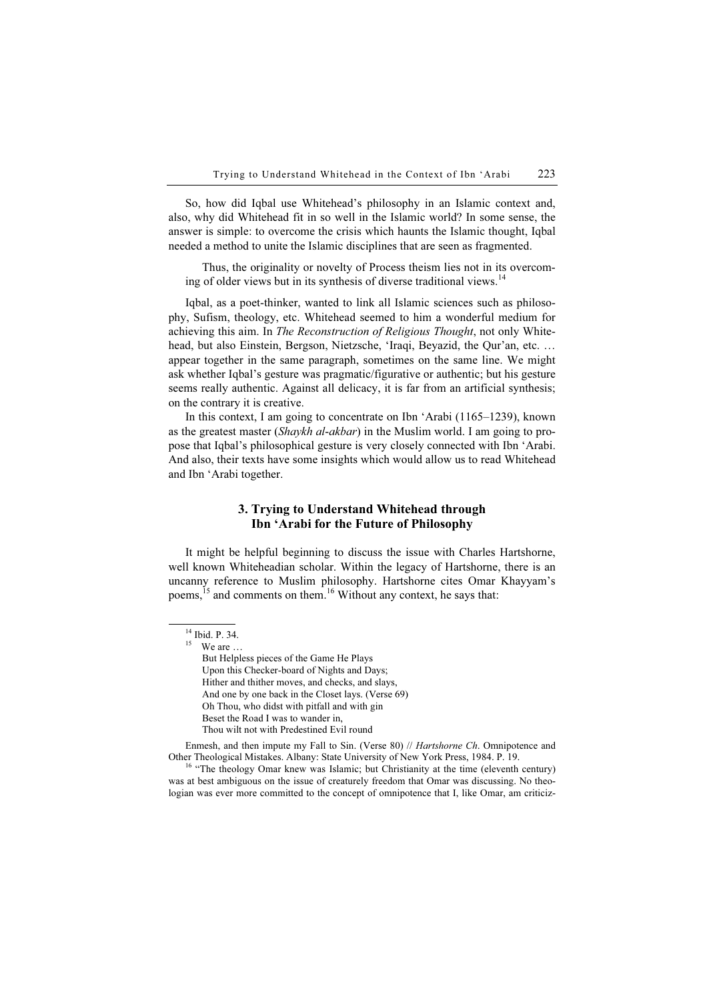So, how did Iqbal use Whitehead's philosophy in an Islamic context and, also, why did Whitehead fit in so well in the Islamic world? In some sense, the answer is simple: to overcome the crisis which haunts the Islamic thought, Iqbal needed a method to unite the Islamic disciplines that are seen as fragmented.

Thus, the originality or novelty of Process theism lies not in its overcoming of older views but in its synthesis of diverse traditional views.<sup>14</sup>

Iqbal, as a poet-thinker, wanted to link all Islamic sciences such as philosophy, Sufism, theology, etc. Whitehead seemed to him a wonderful medium for achieving this aim. In The Reconstruction of Religious Thought, not only Whitehead, but also Einstein, Bergson, Nietzsche, 'Iraqi, Beyazid, the Qur'an, etc. … appear together in the same paragraph, sometimes on the same line. We might ask whether Iqbal's gesture was pragmatic/figurative or authentic; but his gesture seems really authentic. Against all delicacy, it is far from an artificial synthesis; on the contrary it is creative.

In this context, I am going to concentrate on Ibn 'Arabi (1165–1239), known as the greatest master (Shaykh al-akbar) in the Muslim world. I am going to propose that Iqbal's philosophical gesture is very closely connected with Ibn 'Arabi. And also, their texts have some insights which would allow us to read Whitehead and Ibn 'Arabi together.

# 3. Trying to Understand Whitehead through Ibn 'Arabi for the Future of Philosophy

It might be helpful beginning to discuss the issue with Charles Hartshorne, well known Whiteheadian scholar. Within the legacy of Hartshorne, there is an uncanny reference to Muslim philosophy. Hartshorne cites Omar Khayyam's poems,<sup>15</sup> and comments on them.<sup>16</sup> Without any context, he says that:

 $15$  We are ...

But Helpless pieces of the Game He Plays Upon this Checker-board of Nights and Days; Hither and thither moves, and checks, and slays, And one by one back in the Closet lays. (Verse 69) Oh Thou, who didst with pitfall and with gin Beset the Road I was to wander in, Thou wilt not with Predestined Evil round

Enmesh, and then impute my Fall to Sin. (Verse 80) // Hartshorne Ch. Omnipotence and Other Theological Mistakes. Albany: State University of New York Press, 1984. P. 19.<br><sup>16</sup> "The theology Omar knew was Islamic; but Christianity at the time (eleventh century)

was at best ambiguous on the issue of creaturely freedom that Omar was discussing. No theologian was ever more committed to the concept of omnipotence that I, like Omar, am criticiz-

<sup>14</sup> Ibid. P. 34.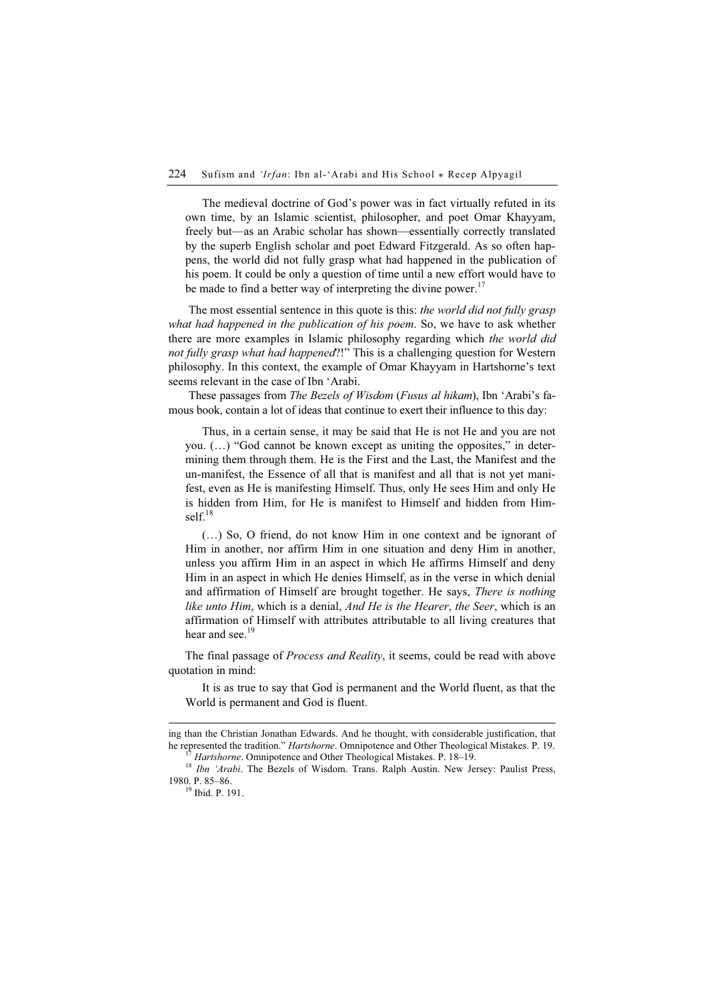The medieval doctrine of God's power was in fact virtually refuted in its own time, by an Islamic scientist, philosopher, and poet Omar Khayyam, freely but—as an Arabic scholar has shown—essentially correctly translated by the superb English scholar and poet Edward Fitzgerald. As so often happens, the world did not fully grasp what had happened in the publication of his poem. It could be only a question of time until a new effort would have to be made to find a better way of interpreting the divine power.<sup>17</sup>

The most essential sentence in this quote is this: the world did not fully grasp what had happened in the publication of his poem. So, we have to ask whether there are more examples in Islamic philosophy regarding which the world did not fully grasp what had happened?!" This is a challenging question for Western philosophy. In this context, the example of Omar Khayyam in Hartshorne's text seems relevant in the case of Ibn 'Arabi.

These passages from The Bezels of Wisdom (Fusus al hikam), Ibn 'Arabi's famous book, contain a lot of ideas that continue to exert their influence to this day:

Thus, in a certain sense, it may be said that He is not He and you are not you. (…) "God cannot be known except as uniting the opposites," in determining them through them. He is the First and the Last, the Manifest and the un-manifest, the Essence of all that is manifest and all that is not yet manifest, even as He is manifesting Himself. Thus, only He sees Him and only He is hidden from Him, for He is manifest to Himself and hidden from Himsel $f<sup>18</sup>$ 

(…) So, O friend, do not know Him in one context and be ignorant of Him in another, nor affirm Him in one situation and deny Him in another, unless you affirm Him in an aspect in which He affirms Himself and deny Him in an aspect in which He denies Himself, as in the verse in which denial and affirmation of Himself are brought together. He says, There is nothing like unto Him, which is a denial, And He is the Hearer, the Seer, which is an affirmation of Himself with attributes attributable to all living creatures that hear and see.<sup>19</sup>

The final passage of *Process and Reality*, it seems, could be read with above quotation in mind:

It is as true to say that God is permanent and the World fluent, as that the World is permanent and God is fluent.

ing than the Christian Jonathan Edwards. And he thought, with considerable justification, that

he represented the tradition." *Hartshorne*. Omnipotence and Other Theological Mistakes. P. 19.<br><sup>17</sup> Hartshorne. Omnipotence and Other Theological Mistakes. P. 18–19.<br><sup>18</sup> Ibn 'Arabi. The Bezels of Wisdom. Trans. Ralph Aus

<sup>&</sup>lt;sup>19</sup> Ibid. P. 191.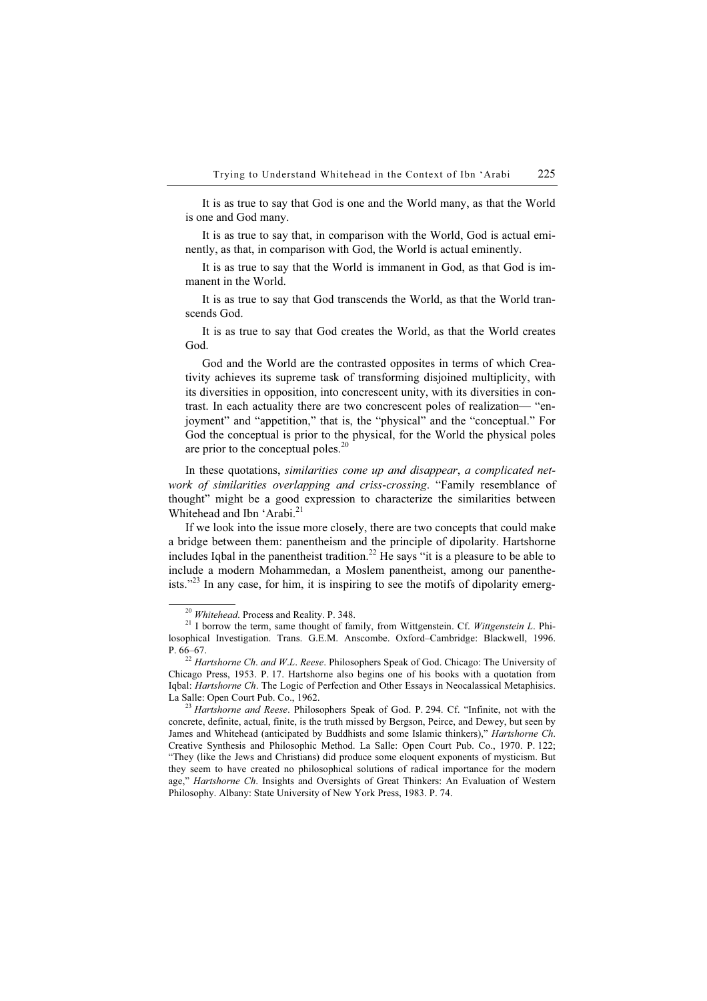It is as true to say that God is one and the World many, as that the World is one and God many.

It is as true to say that, in comparison with the World, God is actual eminently, as that, in comparison with God, the World is actual eminently.

It is as true to say that the World is immanent in God, as that God is immanent in the World.

It is as true to say that God transcends the World, as that the World transcends God.

It is as true to say that God creates the World, as that the World creates God.

God and the World are the contrasted opposites in terms of which Creativity achieves its supreme task of transforming disjoined multiplicity, with its diversities in opposition, into concrescent unity, with its diversities in contrast. In each actuality there are two concrescent poles of realization— "enjoyment" and "appetition," that is, the "physical" and the "conceptual." For God the conceptual is prior to the physical, for the World the physical poles are prior to the conceptual poles.<sup>20</sup>

In these quotations, similarities come up and disappear, a complicated network of similarities overlapping and criss-crossing. "Family resemblance of thought" might be a good expression to characterize the similarities between Whitehead and Ibn 'Arabi.<sup>21</sup>

If we look into the issue more closely, there are two concepts that could make a bridge between them: panentheism and the principle of dipolarity. Hartshorne includes Iqbal in the panentheist tradition.<sup>22</sup> He says "it is a pleasure to be able to include a modern Mohammedan, a Moslem panentheist, among our panentheists." $^{23}$  In any case, for him, it is inspiring to see the motifs of dipolarity emerg-

<sup>&</sup>lt;sup>20</sup> Whitehead. Process and Reality. P. 348. <sup>21</sup> I borrow the term, same thought of family, from Wittgenstein. Cf. *Wittgenstein L*. Philosophical Investigation. Trans. G.E.M. Anscombe. Oxford–Cambridge: Blackwell, 1996. P. 66–67. <sup>22</sup> Hartshorne Ch. and <sup>W</sup>.L. Reese. Philosophers Speak of God. Chicago: The University of

Chicago Press, 1953. P. 17. Hartshorne also begins one of his books with a quotation from Iqbal: Hartshorne Ch. The Logic of Perfection and Other Essays in Neocalassical Metaphisics. La Salle: Open Court Pub. Co., 1962.<br><sup>23</sup> Hartshorne and Reese. Philosophers Speak of God. P. 294. Cf. "Infinite, not with the

concrete, definite, actual, finite, is the truth missed by Bergson, Peirce, and Dewey, but seen by James and Whitehead (anticipated by Buddhists and some Islamic thinkers)," Hartshorne Ch. Creative Synthesis and Philosophic Method. La Salle: Open Court Pub. Co., 1970. P. 122; "They (like the Jews and Christians) did produce some eloquent exponents of mysticism. But they seem to have created no philosophical solutions of radical importance for the modern age," Hartshorne Ch. Insights and Oversights of Great Thinkers: An Evaluation of Western Philosophy. Albany: State University of New York Press, 1983. P. 74.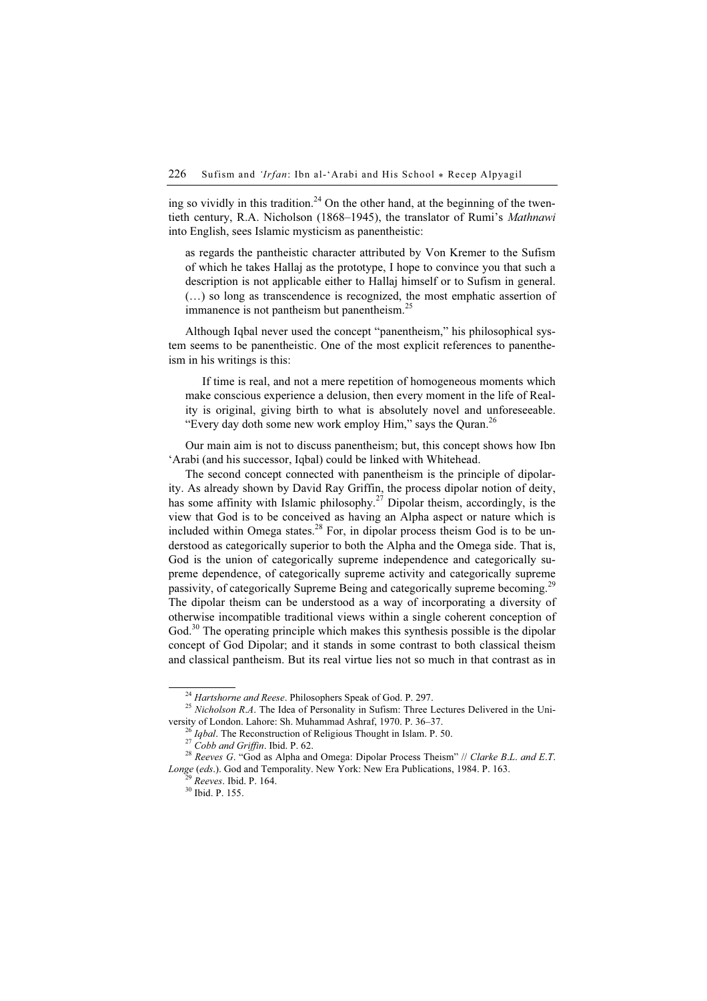ing so vividly in this tradition.<sup>24</sup> On the other hand, at the beginning of the twentieth century, R.A. Nicholson (1868–1945), the translator of Rumi's Mathnawi into English, sees Islamic mysticism as panentheistic:

as regards the pantheistic character attributed by Von Kremer to the Sufism of which he takes Hallaj as the prototype, I hope to convince you that such a description is not applicable either to Hallaj himself or to Sufism in general. (…) so long as transcendence is recognized, the most emphatic assertion of immanence is not pantheism but panentheism.<sup>25</sup>

Although Iqbal never used the concept "panentheism," his philosophical system seems to be panentheistic. One of the most explicit references to panentheism in his writings is this:

If time is real, and not a mere repetition of homogeneous moments which make conscious experience a delusion, then every moment in the life of Reality is original, giving birth to what is absolutely novel and unforeseeable. "Every day doth some new work employ Him," says the Quran.<sup>26</sup>

Our main aim is not to discuss panentheism; but, this concept shows how Ibn 'Arabi (and his successor, Iqbal) could be linked with Whitehead.

The second concept connected with panentheism is the principle of dipolarity. As already shown by David Ray Griffin, the process dipolar notion of deity, has some affinity with Islamic philosophy.<sup>27</sup> Dipolar theism, accordingly, is the view that God is to be conceived as having an Alpha aspect or nature which is included within Omega states.<sup>28</sup> For, in dipolar process theism God is to be understood as categorically superior to both the Alpha and the Omega side. That is, God is the union of categorically supreme independence and categorically supreme dependence, of categorically supreme activity and categorically supreme passivity, of categorically Supreme Being and categorically supreme becoming.<sup>29</sup> The dipolar theism can be understood as a way of incorporating a diversity of otherwise incompatible traditional views within a single coherent conception of God.<sup>30</sup> The operating principle which makes this synthesis possible is the dipolar concept of God Dipolar; and it stands in some contrast to both classical theism and classical pantheism. But its real virtue lies not so much in that contrast as in

<sup>&</sup>lt;sup>24</sup> Hartshorne and Reese. Philosophers Speak of God. P. 297.<br><sup>25</sup> Nicholson R.A. The Idea of Personality in Sufism: Three Lectures Delivered in the University of London. Lahore: Sh. Muhammad Ashraf, 1970. P. 36–37.<br><sup>26</sup> Iqbal. The Reconstruction of Religious Thought in Islam. P. 50.<br><sup>27</sup> Cobb and Griffin. Ibid. P. 62.<br><sup>28</sup> Reeves G. "God as Alpha and Omega: Dipolar Proce

Longe (eds.). God and Temporality. New York: New Era Publications, 1984. P. 163.<br><sup>29</sup> Reeves. Ibid. P. 164.<br><sup>30</sup> Ibid. P. 155.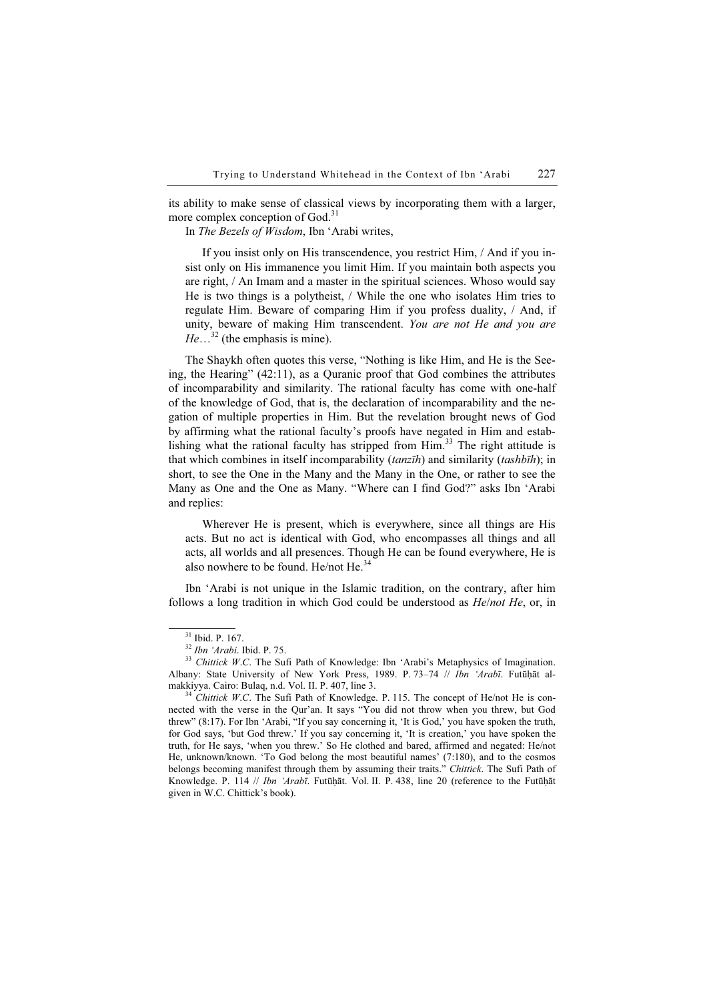its ability to make sense of classical views by incorporating them with a larger, more complex conception of God.<sup>31</sup>

In The Bezels of Wisdom, Ibn 'Arabi writes,

If you insist only on His transcendence, you restrict Him, / And if you insist only on His immanence you limit Him. If you maintain both aspects you are right, / An Imam and a master in the spiritual sciences. Whoso would say He is two things is a polytheist, / While the one who isolates Him tries to regulate Him. Beware of comparing Him if you profess duality, / And, if unity, beware of making Him transcendent. You are not He and you are  $He...^{32}$  (the emphasis is mine).

The Shaykh often quotes this verse, "Nothing is like Him, and He is the Seeing, the Hearing" (42:11), as a Quranic proof that God combines the attributes of incomparability and similarity. The rational faculty has come with one-half of the knowledge of God, that is, the declaration of incomparability and the negation of multiple properties in Him. But the revelation brought news of God by affirming what the rational faculty's proofs have negated in Him and establishing what the rational faculty has stripped from  $\text{Him.}^{33}$  The right attitude is that which combines in itself incomparability (tanzīh) and similarity (tashbīh); in short, to see the One in the Many and the Many in the One, or rather to see the Many as One and the One as Many. "Where can I find God?" asks Ibn 'Arabi and replies:

Wherever He is present, which is everywhere, since all things are His acts. But no act is identical with God, who encompasses all things and all acts, all worlds and all presences. Though He can be found everywhere, He is also nowhere to be found. He/not He.<sup>34</sup>

Ibn 'Arabi is not unique in the Islamic tradition, on the contrary, after him follows a long tradition in which God could be understood as He/not He, or, in

 $31 \text{ Ibid. P. } 167.$ <br> $32 \text{ Ibn 'Arabi. } 161.$  P. 75.

<sup>&</sup>lt;sup>33</sup> Chittick W.C. The Sufi Path of Knowledge: Ibn 'Arabi's Metaphysics of Imagination. Albany: State University of New York Press, 1989. P. 73-74 // Ibn 'Arabī. Futūḥāt almakkiyya. Cairo: Bulaq, n.d. Vol. II. P. 407, line 3.<br><sup>34</sup> Chittick W.C. The Sufi Path of Knowledge. P. 115. The concept of He/not He is con-

nected with the verse in the Qur'an. It says "You did not throw when you threw, but God threw" (8:17). For Ibn 'Arabi, "If you say concerning it, 'It is God,' you have spoken the truth, for God says, 'but God threw.' If you say concerning it, 'It is creation,' you have spoken the truth, for He says, 'when you threw.' So He clothed and bared, affirmed and negated: He/not He, unknown/known. 'To God belong the most beautiful names' (7:180), and to the cosmos belongs becoming manifest through them by assuming their traits." Chittick. The Sufi Path of Knowledge. P. 114 // Ibn 'Arabī. Futūḥāt. Vol. II. P. 438, line 20 (reference to the Futūḥāt given in W.C. Chittick's book).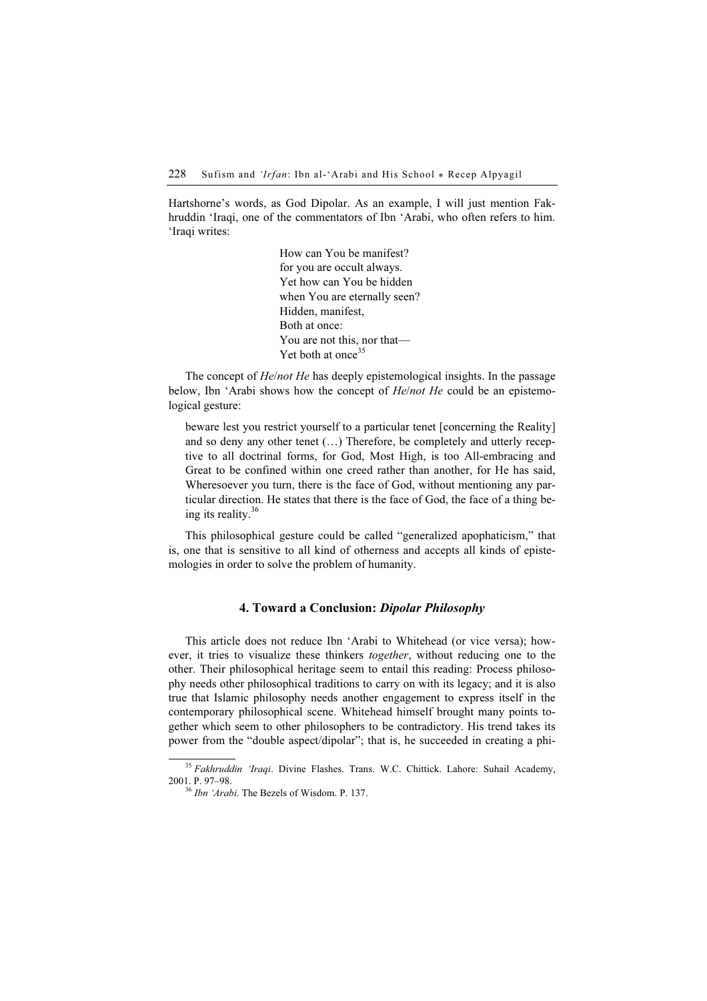Hartshorne's words, as God Dipolar. As an example, I will just mention Fakhruddin 'Iraqi, one of the commentators of Ibn 'Arabi, who often refers to him. 'Iraqi writes:

> How can You be manifest? for you are occult always. Yet how can You be hidden when You are eternally seen? Hidden, manifest, Both at once: You are not this, nor that— Yet both at once<sup>35</sup>

The concept of *He/not He* has deeply epistemological insights. In the passage below, Ibn 'Arabi shows how the concept of *He/not He* could be an epistemological gesture:

beware lest you restrict yourself to a particular tenet [concerning the Reality] and so deny any other tenet (…) Therefore, be completely and utterly receptive to all doctrinal forms, for God, Most High, is too All-embracing and Great to be confined within one creed rather than another, for He has said, Wheresoever you turn, there is the face of God, without mentioning any particular direction. He states that there is the face of God, the face of a thing being its reality. $36$ 

This philosophical gesture could be called "generalized apophaticism," that is, one that is sensitive to all kind of otherness and accepts all kinds of epistemologies in order to solve the problem of humanity.

### 4. Toward a Conclusion: Dipolar Philosophy

This article does not reduce Ibn 'Arabi to Whitehead (or vice versa); however, it tries to visualize these thinkers *together*, without reducing one to the other. Their philosophical heritage seem to entail this reading: Process philosophy needs other philosophical traditions to carry on with its legacy; and it is also true that Islamic philosophy needs another engagement to express itself in the contemporary philosophical scene. Whitehead himself brought many points together which seem to other philosophers to be contradictory. His trend takes its power from the "double aspect/dipolar"; that is, he succeeded in creating a phi-

 $35$  Fakhruddin 'Iraqi. Divine Flashes. Trans. W.C. Chittick. Lahore: Suhail Academy, 2001. P. 97-98.

 $^{36}$  *Ibn 'Arabi*. The Bezels of Wisdom. P. 137.